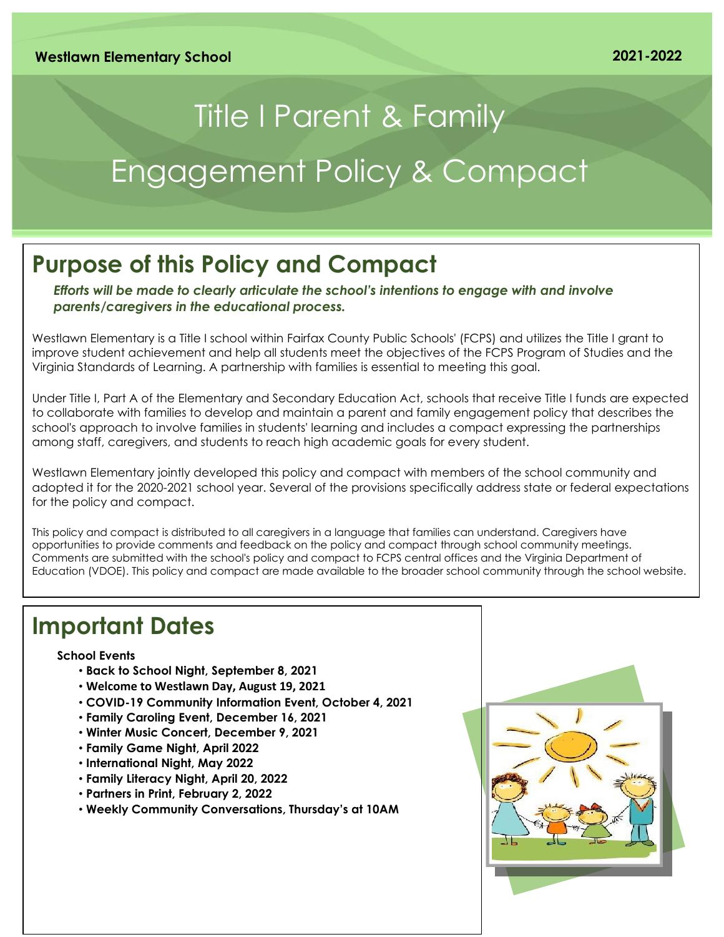# Title I Parent & Family Engagement Policy & Compact

### **Purpose of this Policy and Compact**

*Efforts will be made to clearly articulate the school's intentions to engage with and involve parents/caregivers in the educational process.*

Westlawn Elementary is a Title I school within Fairfax County Public Schools' (FCPS) and utilizes the Title I grant to improve student achievement and help all students meet the objectives of the FCPS Program of Studies and the Virginia Standards of Learning. A partnership with families is essential to meeting this goal.

Under Title I, Part A of the Elementary and Secondary Education Act, schools that receive Title I funds are expected to collaborate with families to develop and maintain a parent and family engagement policy that describes the school's approach to involve families in students' learning and includes a compact expressing the partnerships among staff, caregivers, and students to reach high academic goals for every student.

Westlawn Elementary jointly developed this policy and compact with members of the school community and adopted it for the 2020-2021 school year. Several of the provisions specifically address state or federal expectations for the policy and compact.

This policy and compact is distributed to all caregivers in a language that families can understand. Caregivers have opportunities to provide comments and feedback on the policy and compact through school community meetings. Comments are submitted with the school's policy and compact to FCPS central offices and the Virginia Department of Education (VDOE). This policy and compact are made available to the broader school community through the school website.

### **Important Dates**

### **School Events**

- **Back to School Night, September 8, 2021**
- **Welcome to Westlawn Day, August 19, 2021**
- **COVID-19 Community Information Event, October 4, 2021**
- **Family Caroling Event, December 16, 2021**
- **Winter Music Concert, December 9, 2021**
- **Family Game Night, April 2022**
- **International Night, May 2022**
- **Family Literacy Night, April 20, 2022**
- **Partners in Print, February 2, 2022**
- **Weekly Community Conversations, Thursday's at 10AM**

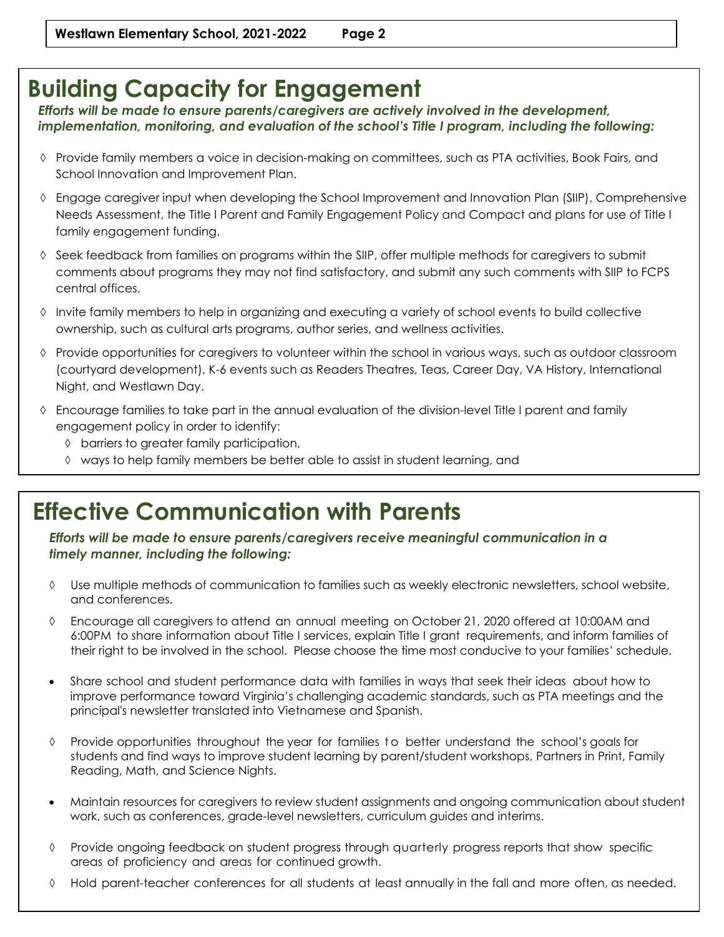## **Building Capacity for Engagement**

*Efforts will be made to ensure parents/caregivers are actively involved in the development, implementation, monitoring, and evaluation of the school's Title I program, including the following:*

- Provide family members a voice in decision-making on committees, such as PTA activities, Book Fairs, and School Innovation and Improvement Plan.
- Engage caregiver input when developing the School Improvement and Innovation Plan (SIIP), Comprehensive Needs Assessment, the Title I Parent and Family Engagement Policy and Compact and plans for use of Title I family engagement funding.
- $\Diamond$  Seek feedback from families on programs within the SIIP, offer multiple methods for caregivers to submit comments about programs they may not find satisfactory, and submit any such comments with SIIP to FCPS central offices.
- Invite family members to help in organizing and executing a variety of school events to build collective ownership, such as cultural arts programs, author series, and wellness activities.
- Provide opportunities for caregivers to volunteer within the school in various ways, such as outdoor classroom (courtyard development), K-6 events such as Readers Theatres, Teas, Career Day, VA History, International Night, and Westlawn Day.
- Encourage families to take part in the annual evaluation of the division-level Title I parent and family engagement policy in order to identify:
	- barriers to greater family participation,
	- ways to help family members be better able to assist in student learning, and

### **Effective Communication with Parents**

strategies to support successful school and family interactions.

*Efforts will be made to ensure parents/caregivers receive meaningful communication in a timely manner, including the following:*

- Use multiple methods of communication to families such as weekly electronic newsletters, school website, and conferences.
- Encourage all caregivers to attend an annual meeting on October 21, 2020 offered at 10:00AM and 6:00PM to share information about Title I services, explain Title I grant requirements, and inform families of their right to be involved in the school. Please choose the time most conducive to your families' schedule.
- Share school and student performance data with families in ways that seek their ideas about how to improve performance toward Virginia's challenging academic standards, such as PTA meetings and the principal's newsletter translated into Vietnamese and Spanish.
- $\Diamond$  Provide opportunities throughout the year for families to better understand the school's goals for students and find ways to improve student learning by parent/student workshops, Partners in Print, Family Reading, Math, and Science Nights.
- Maintain resources for caregivers to review student assignments and ongoing communication about student work, such as conferences, grade-level newsletters, curriculum guides and interims.
- Provide ongoing feedback on student progress through quarterly progress reports that show specific areas of proficiency and areas for continued growth.
- Hold parent-teacher conferences for all students at least annually in the fall and more often, as needed.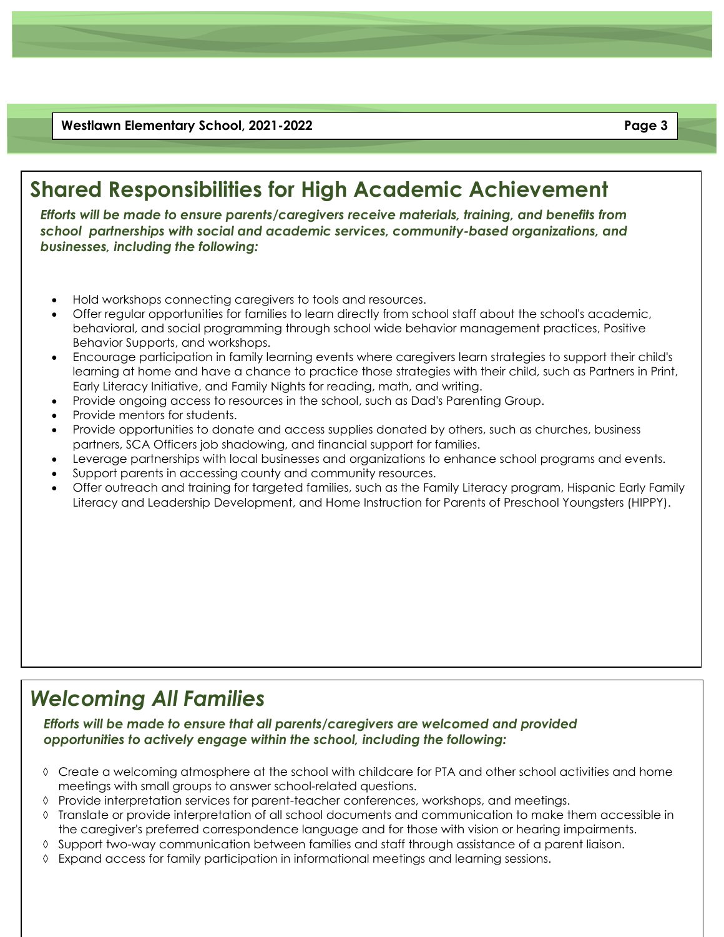**Westlawn Elementary School, 2021-2022 Page 3**

### **Shared Responsibilities for High Academic Achievement**

*Efforts will be made to ensure parents/caregivers receive materials, training, and benefits from school partnerships with social and academic services, community-based organizations, and businesses, including the following:*

- Hold workshops connecting caregivers to tools and resources.
- Offer regular opportunities for families to learn directly from school staff about the school's academic, behavioral, and social programming through school wide behavior management practices, Positive Behavior Supports, and workshops.
- Encourage participation in family learning events where caregivers learn strategies to support their child's learning at home and have a chance to practice those strategies with their child, such as Partners in Print, Early Literacy Initiative, and Family Nights for reading, math, and writing.
- Provide ongoing access to resources in the school, such as Dad's Parenting Group.
- Provide mentors for students.
- Provide opportunities to donate and access supplies donated by others, such as churches, business partners, SCA Officers job shadowing, and financial support for families.
- Leverage partnerships with local businesses and organizations to enhance school programs and events.
- Support parents in accessing county and community resources.
- Offer outreach and training for targeted families, such as the Family Literacy program, Hispanic Early Family Literacy and Leadership Development, and Home Instruction for Parents of Preschool Youngsters (HIPPY).

### *Welcoming All Families*

*Efforts will be made to ensure that all parents/caregivers are welcomed and provided opportunities to actively engage within the school, including the following:*

- Create a welcoming atmosphere at the school with childcare for PTA and other school activities and home meetings with small groups to answer school-related questions.
- $\Diamond$  Provide interpretation services for parent-teacher conferences, workshops, and meetings.
- Translate or provide interpretation of all school documents and communication to make them accessible in the caregiver's preferred correspondence language and for those with vision or hearing impairments.
- $\Diamond$  Support two-way communication between families and staff through assistance of a parent liaison.
- $\Diamond$  Expand access for family participation in informational meetings and learning sessions.